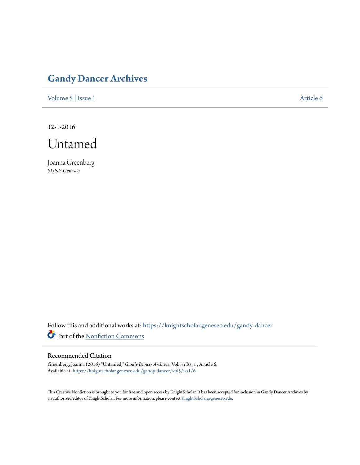## **[Gandy Dancer Archives](https://knightscholar.geneseo.edu/gandy-dancer?utm_source=knightscholar.geneseo.edu%2Fgandy-dancer%2Fvol5%2Fiss1%2F6&utm_medium=PDF&utm_campaign=PDFCoverPages)**

[Volume 5](https://knightscholar.geneseo.edu/gandy-dancer/vol5?utm_source=knightscholar.geneseo.edu%2Fgandy-dancer%2Fvol5%2Fiss1%2F6&utm_medium=PDF&utm_campaign=PDFCoverPages) | [Issue 1](https://knightscholar.geneseo.edu/gandy-dancer/vol5/iss1?utm_source=knightscholar.geneseo.edu%2Fgandy-dancer%2Fvol5%2Fiss1%2F6&utm_medium=PDF&utm_campaign=PDFCoverPages) [Article 6](https://knightscholar.geneseo.edu/gandy-dancer/vol5/iss1/6?utm_source=knightscholar.geneseo.edu%2Fgandy-dancer%2Fvol5%2Fiss1%2F6&utm_medium=PDF&utm_campaign=PDFCoverPages)

12-1-2016



Joanna Greenberg *SUNY Geneseo*

Follow this and additional works at: [https://knightscholar.geneseo.edu/gandy-dancer](https://knightscholar.geneseo.edu/gandy-dancer?utm_source=knightscholar.geneseo.edu%2Fgandy-dancer%2Fvol5%2Fiss1%2F6&utm_medium=PDF&utm_campaign=PDFCoverPages) Part of the [Nonfiction Commons](http://network.bepress.com/hgg/discipline/1152?utm_source=knightscholar.geneseo.edu%2Fgandy-dancer%2Fvol5%2Fiss1%2F6&utm_medium=PDF&utm_campaign=PDFCoverPages)

## Recommended Citation

Greenberg, Joanna (2016) "Untamed," *Gandy Dancer Archives*: Vol. 5 : Iss. 1 , Article 6. Available at: [https://knightscholar.geneseo.edu/gandy-dancer/vol5/iss1/6](https://knightscholar.geneseo.edu/gandy-dancer/vol5/iss1/6?utm_source=knightscholar.geneseo.edu%2Fgandy-dancer%2Fvol5%2Fiss1%2F6&utm_medium=PDF&utm_campaign=PDFCoverPages)

This Creative Nonfiction is brought to you for free and open access by KnightScholar. It has been accepted for inclusion in Gandy Dancer Archives by an authorized editor of KnightScholar. For more information, please contact [KnightScholar@geneseo.edu](mailto:KnightScholar@geneseo.edu).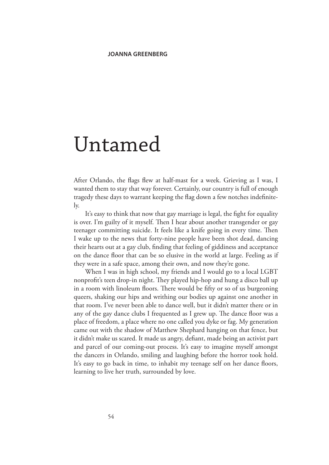## Untamed

After Orlando, the flags flew at half-mast for a week. Grieving as I was, I wanted them to stay that way forever. Certainly, our country is full of enough tragedy these days to warrant keeping the flag down a few notches indefinitely.

It's easy to think that now that gay marriage is legal, the fight for equality is over. I'm guilty of it myself. Then I hear about another transgender or gay teenager committing suicide. It feels like a knife going in every time. Then I wake up to the news that forty-nine people have been shot dead, dancing their hearts out at a gay club, finding that feeling of giddiness and acceptance on the dance floor that can be so elusive in the world at large. Feeling as if they were in a safe space, among their own, and now they're gone.

When I was in high school, my friends and I would go to a local LGBT nonprofit's teen drop-in night. They played hip-hop and hung a disco ball up in a room with linoleum floors. There would be fifty or so of us burgeoning queers, shaking our hips and writhing our bodies up against one another in that room. I've never been able to dance well, but it didn't matter there or in any of the gay dance clubs I frequented as I grew up. The dance floor was a place of freedom, a place where no one called you dyke or fag. My generation came out with the shadow of Matthew Shephard hanging on that fence, but it didn't make us scared. It made us angry, defiant, made being an activist part and parcel of our coming-out process. It's easy to imagine myself amongst the dancers in Orlando, smiling and laughing before the horror took hold. It's easy to go back in time, to inhabit my teenage self on her dance floors, learning to live her truth, surrounded by love.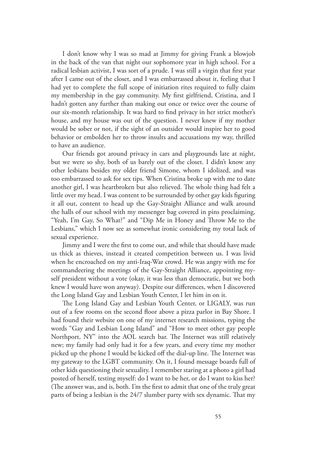I don't know why I was so mad at Jimmy for giving Frank a blowjob in the back of the van that night our sophomore year in high school. For a radical lesbian activist, I was sort of a prude. I was still a virgin that first year after I came out of the closet, and I was embarrassed about it, feeling that I had yet to complete the full scope of initiation rites required to fully claim my membership in the gay community. My first girlfriend, Cristina, and I hadn't gotten any further than making out once or twice over the course of our six-month relationship. It was hard to find privacy in her strict mother's house, and my house was out of the question. I never knew if my mother would be sober or not, if the sight of an outsider would inspire her to good behavior or embolden her to throw insults and accusations my way, thrilled to have an audience.

Our friends got around privacy in cars and playgrounds late at night, but we were so shy, both of us barely out of the closet. I didn't know any other lesbians besides my older friend Simone, whom I idolized, and was too embarrassed to ask for sex tips. When Cristina broke up with me to date another girl, I was heartbroken but also relieved. The whole thing had felt a little over my head. I was content to be surrounded by other gay kids figuring it all out, content to head up the Gay-Straight Alliance and walk around the halls of our school with my messenger bag covered in pins proclaiming, "Yeah, I'm Gay, So What?" and "Dip Me in Honey and Throw Me to the Lesbians," which I now see as somewhat ironic considering my total lack of sexual experience.

Jimmy and I were the first to come out, and while that should have made us thick as thieves, instead it created competition between us. I was livid when he encroached on my anti-Iraq-War crowd. He was angry with me for commandeering the meetings of the Gay-Straight Alliance, appointing myself president without a vote (okay, it was less than democratic, but we both knew I would have won anyway). Despite our differences, when I discovered the Long Island Gay and Lesbian Youth Center, I let him in on it.

The Long Island Gay and Lesbian Youth Center, or LIGALY, was run out of a few rooms on the second floor above a pizza parlor in Bay Shore. I had found their website on one of my internet research missions, typing the words "Gay and Lesbian Long Island" and "How to meet other gay people Northport, NY" into the AOL search bar. The Internet was still relatively new; my family had only had it for a few years, and every time my mother picked up the phone I would be kicked off the dial-up line. The Internet was my gateway to the LGBT community. On it, I found message boards full of other kids questioning their sexuality. I remember staring at a photo a girl had posted of herself, testing myself: do I want to be her, or do I want to kiss her? (The answer was, and is, both. I'm the first to admit that one of the truly great parts of being a lesbian is the 24/7 slumber party with sex dynamic. That my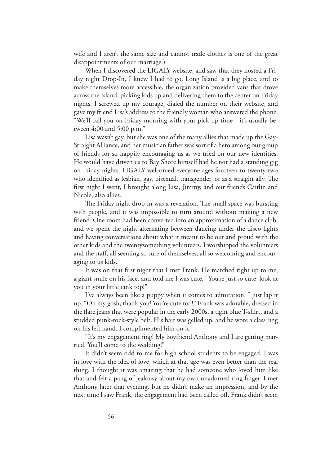wife and I aren't the same size and cannot trade clothes is one of the great disappointments of our marriage.)

When I discovered the LIGALY website, and saw that they hosted a Friday night Drop-In, I knew I had to go. Long Island is a big place, and to make themselves more accessible, the organization provided vans that drove across the Island, picking kids up and delivering them to the center on Friday nights. I screwed up my courage, dialed the number on their website, and gave my friend Lisa's address to the friendly woman who answered the phone. "We'll call you on Friday morning with your pick up time—it's usually between 4:00 and 5:00 p.m."

Lisa wasn't gay, but she was one of the many allies that made up the Gay-Straight Alliance, and her musician father was sort of a hero among our group of friends for so happily encouraging us as we tried on our new identities. He would have driven us to Bay Shore himself had he not had a standing gig on Friday nights. LIGALY welcomed everyone ages fourteen to twenty-two who identified as lesbian, gay, bisexual, transgender, or as a straight ally. The first night I went, I brought along Lisa, Jimmy, and our friends Caitlin and Nicole, also allies.

The Friday night drop-in was a revelation. The small space was bursting with people, and it was impossible to turn around without making a new friend. One room had been converted into an approximation of a dance club, and we spent the night alternating between dancing under the disco lights and having conversations about what it meant to be out and proud with the other kids and the twentysomething volunteers. I worshipped the volunteers and the staff, all seeming so sure of themselves, all so welcoming and encouraging to us kids.

It was on that first night that I met Frank. He marched right up to me, a giant smile on his face, and told me I was cute. "You're just so cute, look at you in your little tank top!"

I've always been like a puppy when it comes to admiration: I just lap it up. "Oh my gosh, thank you! You're cute too!" Frank was adorable, dressed in the flare jeans that were popular in the early 2000s, a tight blue T-shirt, and a studded punk-rock-style belt. His hair was gelled up, and he wore a class ring on his left hand. I complimented him on it.

"It's my engagement ring! My boyfriend Anthony and I are getting married. You'll come to the wedding!"

It didn't seem odd to me for high school students to be engaged. I was in love with the idea of love, which at that age was even better than the real thing. I thought it was amazing that he had someone who loved him like that and felt a pang of jealousy about my own unadorned ring finger. I met Anthony later that evening, but he didn't make an impression, and by the next time I saw Frank, the engagement had been called off. Frank didn't seem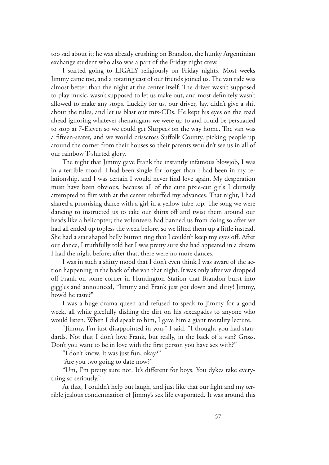too sad about it; he was already crushing on Brandon, the hunky Argentinian exchange student who also was a part of the Friday night crew.

I started going to LIGALY religiously on Friday nights. Most weeks Jimmy came too, and a rotating cast of our friends joined us. The van ride was almost better than the night at the center itself. The driver wasn't supposed to play music, wasn't supposed to let us make out, and most definitely wasn't allowed to make any stops. Luckily for us, our driver, Jay, didn't give a shit about the rules, and let us blast our mix-CDs. He kept his eyes on the road ahead ignoring whatever shenanigans we were up to and could be persuaded to stop at 7-Eleven so we could get Slurpees on the way home. The van was a fifteen-seater, and we would crisscross Suffolk County, picking people up around the corner from their houses so their parents wouldn't see us in all of our rainbow T-shirted glory.

The night that Jimmy gave Frank the instantly infamous blowjob, I was in a terrible mood. I had been single for longer than I had been in my relationship, and I was certain I would never find love again. My desperation must have been obvious, because all of the cute pixie-cut girls I clumsily attempted to flirt with at the center rebuffed my advances. That night, I had shared a promising dance with a girl in a yellow tube top. The song we were dancing to instructed us to take our shirts off and twist them around our heads like a helicopter; the volunteers had banned us from doing so after we had all ended up topless the week before, so we lifted them up a little instead. She had a star shaped belly button ring that I couldn't keep my eyes off. After our dance, I truthfully told her I was pretty sure she had appeared in a dream I had the night before; after that, there were no more dances.

I was in such a shitty mood that I don't even think I was aware of the action happening in the back of the van that night. It was only after we dropped off Frank on some corner in Huntington Station that Brandon burst into giggles and announced, "Jimmy and Frank just got down and dirty! Jimmy, how'd he taste?"

I was a huge drama queen and refused to speak to Jimmy for a good week, all while gleefully dishing the dirt on his sexcapades to anyone who would listen. When I did speak to him, I gave him a giant morality lecture.

"Jimmy, I'm just disappointed in you," I said. "I thought you had standards. Not that I don't love Frank, but really, in the back of a van? Gross. Don't you want to be in love with the first person you have sex with?"

"I don't know. It was just fun, okay?"

"Are you two going to date now?"

"Um, I'm pretty sure not. It's different for boys. You dykes take everything so seriously."

At that, I couldn't help but laugh, and just like that our fight and my terrible jealous condemnation of Jimmy's sex life evaporated. It was around this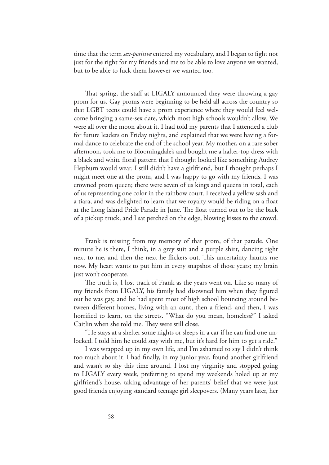time that the term *sex-positive* entered my vocabulary, and I began to fight not just for the right for my friends and me to be able to love anyone we wanted, but to be able to fuck them however we wanted too.

That spring, the staff at LIGALY announced they were throwing a gay prom for us. Gay proms were beginning to be held all across the country so that LGBT teens could have a prom experience where they would feel welcome bringing a same-sex date, which most high schools wouldn't allow. We were all over the moon about it. I had told my parents that I attended a club for future leaders on Friday nights, and explained that we were having a formal dance to celebrate the end of the school year. My mother, on a rare sober afternoon, took me to Bloomingdale's and bought me a halter-top dress with a black and white floral pattern that I thought looked like something Audrey Hepburn would wear. I still didn't have a girlfriend, but I thought perhaps I might meet one at the prom, and I was happy to go with my friends. I was crowned prom queen; there were seven of us kings and queens in total, each of us representing one color in the rainbow court. I received a yellow sash and a tiara, and was delighted to learn that we royalty would be riding on a float at the Long Island Pride Parade in June. The float turned out to be the back of a pickup truck, and I sat perched on the edge, blowing kisses to the crowd.

Frank is missing from my memory of that prom, of that parade. One minute he is there, I think, in a grey suit and a purple shirt, dancing right next to me, and then the next he flickers out. This uncertainty haunts me now. My heart wants to put him in every snapshot of those years; my brain just won't cooperate.

The truth is, I lost track of Frank as the years went on. Like so many of my friends from LIGALY, his family had disowned him when they figured out he was gay, and he had spent most of high school bouncing around between different homes, living with an aunt, then a friend, and then, I was horrified to learn, on the streets. "What do you mean, homeless?" I asked Caitlin when she told me. They were still close.

"He stays at a shelter some nights or sleeps in a car if he can find one unlocked. I told him he could stay with me, but it's hard for him to get a ride."

I was wrapped up in my own life, and I'm ashamed to say I didn't think too much about it. I had finally, in my junior year, found another girlfriend and wasn't so shy this time around. I lost my virginity and stopped going to LIGALY every week, preferring to spend my weekends holed up at my girlfriend's house, taking advantage of her parents' belief that we were just good friends enjoying standard teenage girl sleepovers. (Many years later, her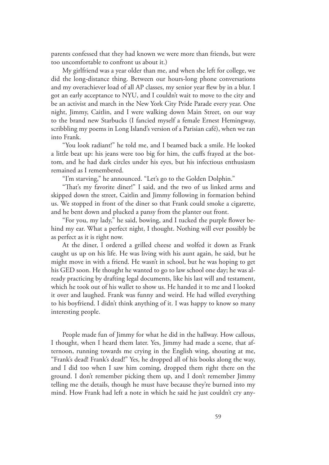parents confessed that they had known we were more than friends, but were too uncomfortable to confront us about it.)

My girlfriend was a year older than me, and when she left for college, we did the long-distance thing. Between our hours-long phone conversations and my overachiever load of all AP classes, my senior year flew by in a blur. I got an early acceptance to NYU, and I couldn't wait to move to the city and be an activist and march in the New York City Pride Parade every year. One night, Jimmy, Caitlin, and I were walking down Main Street, on our way to the brand new Starbucks (I fancied myself a female Ernest Hemingway, scribbling my poems in Long Island's version of a Parisian café), when we ran into Frank.

"You look radiant!" he told me, and I beamed back a smile. He looked a little beat up: his jeans were too big for him, the cuffs frayed at the bottom, and he had dark circles under his eyes, but his infectious enthusiasm remained as I remembered.

"I'm starving," he announced. "Let's go to the Golden Dolphin."

"That's my favorite diner!" I said, and the two of us linked arms and skipped down the street, Caitlin and Jimmy following in formation behind us. We stopped in front of the diner so that Frank could smoke a cigarette, and he bent down and plucked a pansy from the planter out front.

"For you, my lady," he said, bowing, and I tucked the purple flower behind my ear. What a perfect night, I thought. Nothing will ever possibly be as perfect as it is right now.

At the diner, I ordered a grilled cheese and wolfed it down as Frank caught us up on his life. He was living with his aunt again, he said, but he might move in with a friend. He wasn't in school, but he was hoping to get his GED soon. He thought he wanted to go to law school one day; he was already practicing by drafting legal documents, like his last will and testament, which he took out of his wallet to show us. He handed it to me and I looked it over and laughed. Frank was funny and weird. He had willed everything to his boyfriend. I didn't think anything of it. I was happy to know so many interesting people.

People made fun of Jimmy for what he did in the hallway. How callous, I thought, when I heard them later. Yes, Jimmy had made a scene, that afternoon, running towards me crying in the English wing, shouting at me, "Frank's dead! Frank's dead!" Yes, he dropped all of his books along the way, and I did too when I saw him coming, dropped them right there on the ground. I don't remember picking them up, and I don't remember Jimmy telling me the details, though he must have because they're burned into my mind. How Frank had left a note in which he said he just couldn't cry any-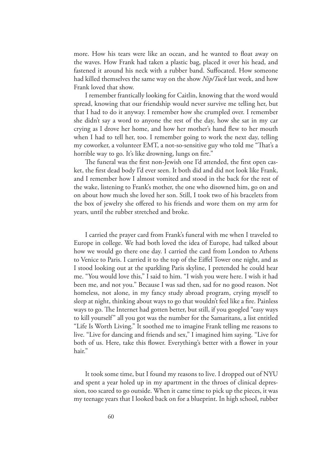more. How his tears were like an ocean, and he wanted to float away on the waves. How Frank had taken a plastic bag, placed it over his head, and fastened it around his neck with a rubber band. Suffocated. How someone had killed themselves the same way on the show *Nip/Tuck* last week, and how Frank loved that show.

I remember frantically looking for Caitlin, knowing that the word would spread, knowing that our friendship would never survive me telling her, but that I had to do it anyway. I remember how she crumpled over. I remember she didn't say a word to anyone the rest of the day, how she sat in my car crying as I drove her home, and how her mother's hand flew to her mouth when I had to tell her, too. I remember going to work the next day, telling my coworker, a volunteer EMT, a not-so-sensitive guy who told me "That's a horrible way to go. It's like drowning, lungs on fire."

The funeral was the first non-Jewish one I'd attended, the first open casket, the first dead body I'd ever seen. It both did and did not look like Frank, and I remember how I almost vomited and stood in the back for the rest of the wake, listening to Frank's mother, the one who disowned him, go on and on about how much she loved her son. Still, I took two of his bracelets from the box of jewelry she offered to his friends and wore them on my arm for years, until the rubber stretched and broke.

I carried the prayer card from Frank's funeral with me when I traveled to Europe in college. We had both loved the idea of Europe, had talked about how we would go there one day. I carried the card from London to Athens to Venice to Paris. I carried it to the top of the Eiffel Tower one night, and as I stood looking out at the sparkling Paris skyline, I pretended he could hear me. "You would love this," I said to him. "I wish you were here. I wish it had been me, and not you." Because I was sad then, sad for no good reason. Not homeless, not alone, in my fancy study abroad program, crying myself to sleep at night, thinking about ways to go that wouldn't feel like a fire. Painless ways to go. The Internet had gotten better, but still, if you googled "easy ways to kill yourself" all you got was the number for the Samaritans, a list entitled "Life Is Worth Living." It soothed me to imagine Frank telling me reasons to live. "Live for dancing and friends and sex," I imagined him saying. "Live for both of us. Here, take this flower. Everything's better with a flower in your hair."

It took some time, but I found my reasons to live. I dropped out of NYU and spent a year holed up in my apartment in the throes of clinical depression, too scared to go outside. When it came time to pick up the pieces, it was my teenage years that I looked back on for a blueprint. In high school, rubber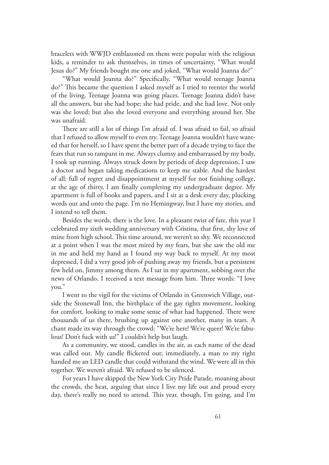bracelets with WWJD emblazoned on them were popular with the religious kids, a reminder to ask themselves, in times of uncertainty, "What would Jesus do?" My friends bought me one and joked, "What would Joanna do?"

"What would Joanna do?" Specifically, "What would teenage Joanna do?" This became the question I asked myself as I tried to reenter the world of the living. Teenage Joanna was going places. Teenage Joanna didn't have all the answers, but she had hope; she had pride, and she had love. Not only was she loved; but also she loved everyone and everything around her. She was unafraid.

There are still a lot of things I'm afraid of. I was afraid to fail, so afraid that I refused to allow myself to even try. Teenage Joanna wouldn't have wanted that for herself, so I have spent the better part of a decade trying to face the fears that run so rampant in me. Always clumsy and embarrassed by my body, I took up running. Always struck down by periods of deep depression, I saw a doctor and began taking medications to keep me stable. And the hardest of all: full of regret and disappointment at myself for not finishing college, at the age of thirty, I am finally completing my undergraduate degree. My apartment is full of books and papers, and I sit at a desk every day, plucking words out and onto the page. I'm no Hemingway, but I have my stories, and I intend to tell them.

Besides the words, there is the love. In a pleasant twist of fate, this year I celebrated my sixth wedding anniversary with Cristina, that first, shy love of mine from high school. This time around, we weren't so shy. We reconnected at a point when I was the most mired by my fears, but she saw the old me in me and held my hand as I found my way back to myself. At my most depressed, I did a very good job of pushing away my friends, but a persistent few held on, Jimmy among them. As I sat in my apartment, sobbing over the news of Orlando, I received a text message from him. Three words: "I love you."

I went to the vigil for the victims of Orlando in Greenwich Village, outside the Stonewall Inn, the birthplace of the gay rights movement, looking for comfort, looking to make some sense of what had happened. There were thousands of us there, brushing up against one another, many in tears. A chant made its way through the crowd: "We're here! We're queer! We're fabulous! Don't fuck with us!" I couldn't help but laugh.

As a community, we stood, candles in the air, as each name of the dead was called out. My candle flickered out; immediately, a man to my right handed me an LED candle that could withstand the wind. We were all in this together. We weren't afraid. We refused to be silenced.

For years I have skipped the New York City Pride Parade, moaning about the crowds, the heat, arguing that since I live my life out and proud every day, there's really no need to attend. This year, though, I'm going, and I'm